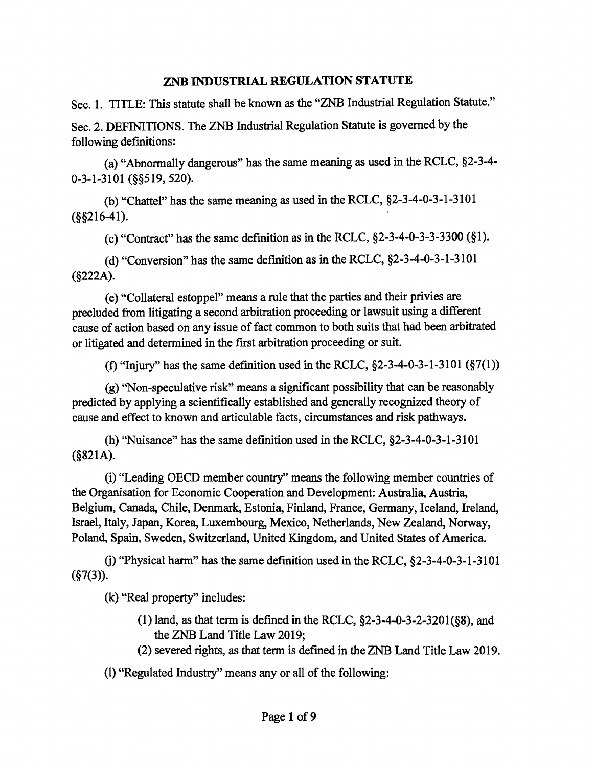### ZNB INDUSTRIAL REGULATION STATUTE

Sec. 1. TITLE: This statute shall be known as the "ZNB Industrial Regulation Statute."

Sec. 2. DEFINITIONS. The ZNB Industrial Regulation Statute is governed by the following definitions:

(a) "Abnormally dangerous" has the same meaning as used in the RCLC, §2-3-4- 0-3-1-3101 (§§519, 520).

(b) "Chattel" has the same meaning as used in the RCLC, §2-3-4-0-3-1-3101  $(\$§216-41).$ 

(c) "Contract" has the same definition as in the RCLC, §2-3-4-0-3-3-3300 (§1).

(d) "Conversion" has the same definition as in the RCLC, §2-3-4-0-3-1-3101 (§222A).

( e) "Collateral estoppel" means a rule that the parties and their privies are precluded from litigating a second arbitration proceeding or lawsuit using a different cause of action based on any issue of fact common to both suits that had been arbitrated or litigated and determined in the first arbitration proceeding or suit.

(f) "Injury" has the same definition used in the RCLC,  $\S$ 2-3-4-0-3-1-3101  $(\S$ 7(1))

(g) "Non-speculative risk" means a significant possibility that can be reasonably predicted by applying a scientifically established and generally recognized theory of cause and effect to known and articulable facts, circumstances and risk pathways.

(h) "Nuisance" has the same definition used in the RCLC, §2-3-4-0-3-1-3101 (§821A).

(i) "Leading OECD member country'' means the following member countries of the Organisation for Economic Cooperation and Development: Australia, Austria, Belgium, Canada, Chile, Denmark, Estonia, Finland, France, Germany, Iceland, Ireland, Israel, Italy, Japan, Korea, Luxembourg, Mexico, Netherlands, New Zealand, Norway, Poland, Spain, Sweden, Switzerland, United Kingdom, and United States of America.

(i) "Physical harm" has the same definition used in the RCLC,  $\S$ 2-3-4-0-3-1-3101  $(S7(3))$ .

(k) "Real property" includes:

- (1) land, as that term is defined in the RCLC,  $\S$ 2-3-4-0-3-2-3201( $\S$ 8), and the ZNB Land Title Law 2019;
- (2) severed rights, as that term is defined in the ZNB Land Title Law 2019.

(1) "Regulated Industry" means any or all of the following: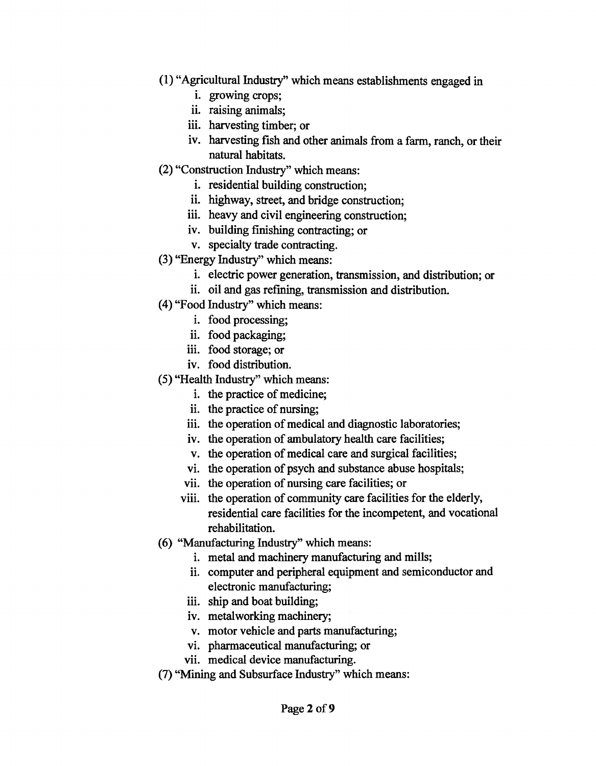- (1) "Agricultural Industry" which means establishments engaged in
	- i. growing crops;
	- ii. raising animals;
	- iii. harvesting timber; or
	- iv. harvesting fish and other animals from a farm, ranch, or their natural habitats.
- (2) "Construction Industry" which means:
	- i. residential building construction;
	- ii. highway, street, and bridge construction;
	- iii. heavy and civil engineering construction;
	- iv. building finishing contracting; or
	- v. specialty trade contracting.
- (3) "Energy Industry" which means:
	- i. electric power generation, transmission, and distribution; or
	- ii. oil and gas refining, transmission and distribution.
- (4) "Food Industry" which means:
	- i. food processing;
	- ii. food packaging;
	- iii. food storage; or
	- iv. food distribution.
- (5) "Health Industry" which means:
	- i. the practice of medicine;
	- ii. the practice of nursing;
	- iii. the operation of medical and diagnostic laboratories;
	- iv. the operation of ambulatory health care facilities;
	- v. the operation of medical care and surgical facilities;
	- vi. the operation of psych and substance abuse hospitals;
	- vii. the operation of nursing care facilities; or
	- viii. the operation of community care facilities for the elderly, residential care facilities for the incompetent, and vocational rehabilitation.
- (6) "Manufacturing Industry" which means:
	- i. metal and machinery manufacturing and mills;
	- ii. computer and peripheral equipment and semiconductor and electronic manufacturing;
	- iii. ship and boat building;
	- iv. metalworking machinery;
	- v. motor vehicle and parts manufacturing;
	- vi. pharmaceutical manufacturing; or
	- vii. medical device manufacturing.
- (7) "Mining and Subsurface Industry" which means: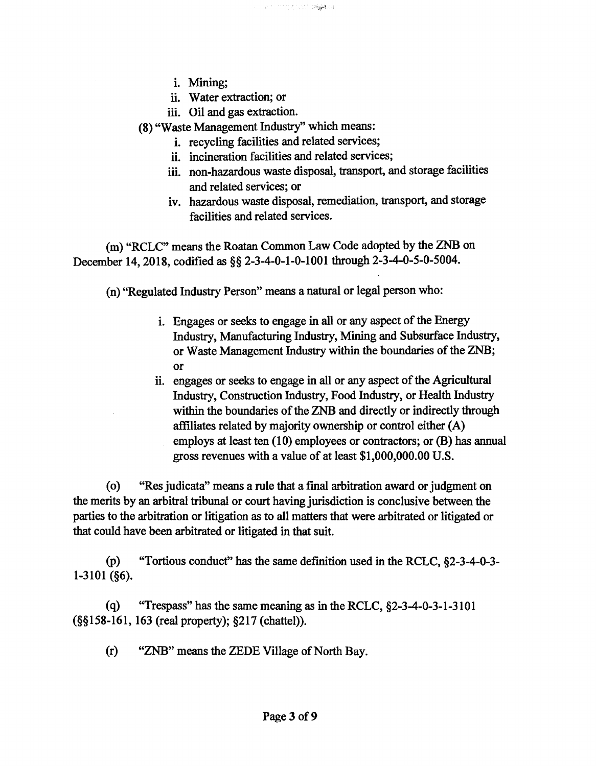- i. Mining;
- ii. Water extraction; or
- iii. Oil and gas extraction.

(8) "Waste Management Industry'' which means:

- 1. recycling facilities and related services;
- ii. incineration facilities and related services;
- iii. non-hazardous waste disposal, transport, and storage facilities and related services; or
- iv. hazardous waste disposal, remediation, transport, and storage facilities and related services.

(m) "RCLC" means the Roatan Common Law Code adopted by the ZNB on December 14, 2018, codified as §§ 2-3-4-0-1-0-1001 through 2-3-4-0-5-0-5004.

(n) "Regulated Industry Person" means a natural or legal person who:

- i. Engages or seeks to engage in all or any aspect of the Energy Industry, Manufacturing Industry, Mining and Subsurface Industry, or Waste Management Industry within the boundaries of the ZNB; or
- ii. engages or seeks to engage in all or any aspect of the Agricultural Industry, Construction Industry, Food Industry, or Health Industry within the boundaries of the ZNB and directly or indirectly through affiliates related by majority ownership or control either (A) employs at least ten (10) employees or contractors; or (B) has annual gross revenues with a value of at least \$1,000,000.00 U.S.

( o) "Res judicata" means a rule that a final arbitration award or judgment on the merits by an arbitral tribunal or court having jurisdiction is conclusive between the parties to the arbitration or litigation as to all matters that were arbitrated or litigated or that could have been arbitrated or litigated in that suit.

(p) "Tortious conduct" has the same definition used in the RCLC, §2-3-4-0-3- 1-3101 (§6).

(q) "Trespass" has the same meaning as in the RCLC, §2-3-4-0-3-1-3101 (§§158-161, 163 (real property); §217 (chattel)).

(r) "ZNB" means the ZEDE Village of North Bay.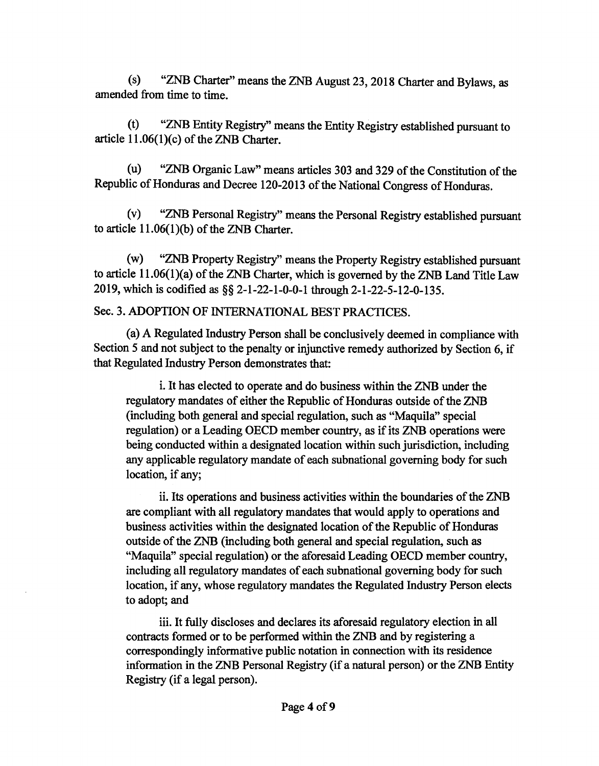(s) "ZNB Charter" means the ZNB August 23, 2018 Charter and Bylaws, as amended from time to time.

(t) "ZNB Entity Registry" means the Entity Registry established pursuant to article l 1.06(1)(c) of the ZNB Charter.

(u) "ZNB Organic Law" means articles 303 and 329 of the Constitution of the Republic of Honduras and Decree 120-2013 of the National Congress of Honduras.

(v) "ZNB Personal Registry" means the Personal Registry established pursuant to article 11.06(l)(b) of the ZNB Charter.

(w) "ZNB Property Registry" means the Property Registry established pursuant to article 11.06(1)(a) of the ZNB Charter, which is governed by the ZNB Land Title Law 2019, which is codified as §§ 2-1-22-1-0-0-1 through 2-1-22-5-12-0-135.

### Sec. 3. ADOPTION OF INTERNATIONAL BEST PRACTICES.

(a) A Regulated Industry Person shall be conclusively deemed in compliance with Section *5* and not subject to the penalty or injunctive remedy authorized by Section 6, if that Regulated Industry Person demonstrates that:

i. It has elected to operate and do business within the ZNB under the regulatory mandates of either the Republic of Honduras outside of the ZNB (including both general and special regulation, such as "Maquila" special regulation) or a Leading OECD member country, as if its ZNB operations were being conducted within a designated location within such jurisdiction, including any applicable regulatory mandate of each subnational governing body for such location, if any;

ii. Its operations and business activities within the boundaries of the ZNB are compliant with all regulatory mandates that would apply to operations and business activities within the designated location of the Republic of Honduras outside of the ZNB (including both general and special regulation, such as "Maquila" special regulation) or the aforesaid Leading OECD member country, including all regulatory mandates of each subnational governing body for such location, if any, whose regulatory mandates the Regulated Industry Person elects to adopt; and

iii. It fully discloses and declares its aforesaid regulatory election in all contracts formed or to be performed within the ZNB and by registering a correspondingly informative public notation in connection with its residence information in the ZNB Personal Registry (if a natural person) or the ZNB Entity Registry (if a legal person).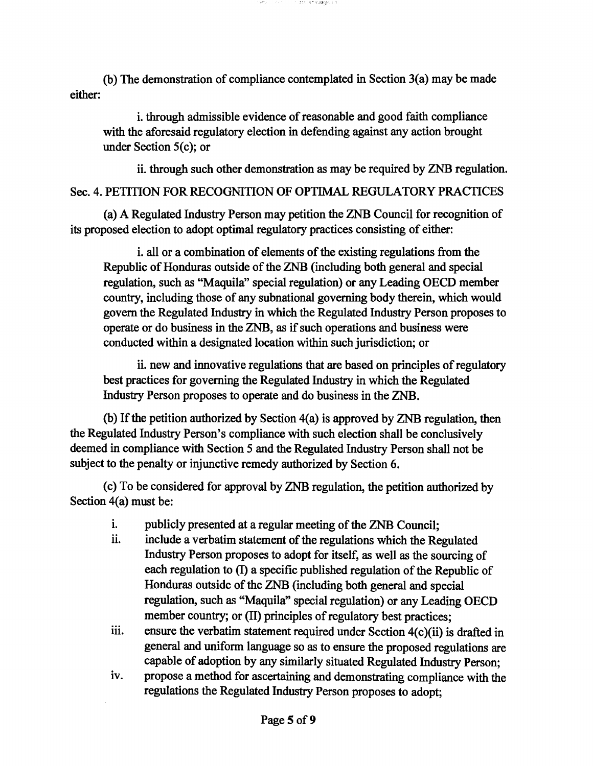(b) The demonstration of compliance contemplated in Section 3(a) may be made either:

i. through admissible evidence of reasonable and good faith compliance with the aforesaid regulatory election in defending against any action brought under Section 5(c); or

ii. through such other demonstration as may be required by ZNB regulation.

Sec. 4. PETITION FOR RECOGNITION OF OPTIMAL REGULATORY PRACTICES

(a) A Regulated Industry Person may petition the ZNB Council for recognition of its proposed election to adopt optimal regulatory practices consisting of either:

i. all or a combination of elements of the existing regulations from the Republic of Honduras outside of the ZNB {including both general and special regulation, such as "Maquila" special regulation) or any Leading OECD member country, including those of any subnational governing body therein, which would govern the Regulated Industry in which the Regulated Industry Person proposes to operate or do business in the ZNB, as if such operations and business were conducted within a designated location within such jurisdiction; or

ii. new and innovative regulations that are based on principles of regulatory best practices for governing the Regulated Industry in which the Regulated Industry Person proposes to operate and do business in the ZNB.

(b) If the petition authorized by Section 4(a) is approved by ZNB regulation, then the Regulated Industry Person's compliance with such election shall be conclusively deemed in compliance with Section 5 and the Regulated Industry Person shall not be subject to the penalty or injunctive remedy authorized by Section 6.

(c) To be considered for approval by ZNB regulation, the petition authorized by Section 4(a) must be:

- i. publicly presented at a regular meeting of the ZNB Council;
- ii. include a verbatim statement of the regulations which the Regulated Industry Person proposes to adopt for itself, as well as the sourcing of each regulation to (I) a specific published regulation of the Republic of Honduras outside of the ZNB {including both general and special regulation, such as "Maquila" special regulation) or any Leading OECD member country; or (II) principles of regulatory best practices;
- iii. ensure the verbatim statement required under Section  $4(c)(ii)$  is drafted in general and uniform language so as to ensure the proposed regulations are capable of adoption by any similarly situated Regulated Industry Person;
- iv. propose a method for ascertaining and demonstrating compliance with the regulations the Regulated Industry Person proposes to adopt;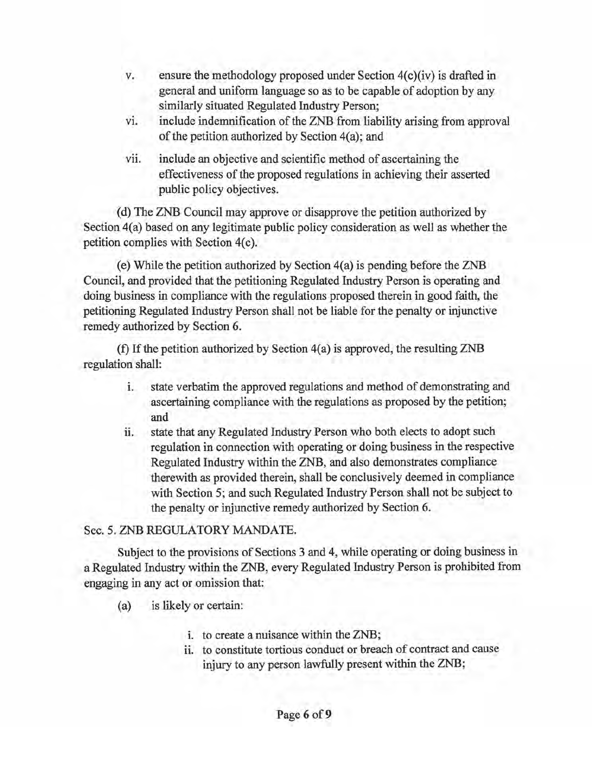- v. ensure the methodology proposed under Section 4(c)(iv) is drafted in general and uniform language so as to be capable of adoption by any similarly situated Regulated Industry Person;
- vi. include indemnification of the ZNB from liability arising from approval of the petition authorized by Section  $4(a)$ ; and
- vii. include an objective and scientific method of ascertaining the effectiveness of the proposed regulations in achieving their asserted public policy objectives.

( d) The ZNB Council may approve or disapprove the petition authorized by Section 4(a) based on any legitimate public policy consideration as well as whether the petition complies with Section 4(c).

(e) While the petition authorized by Section 4(a) is pending before the ZNB Council, and provided that the petitioning Regulated Industry Person is operating and doing business in compliance with the regulations proposed therein in good faith, the petitioning Regulated Industry Person shall not be liable for the penalty or injunctive remedy authorized by Section 6.

(f) If the petition authorized by Section 4(a) is approved, the resulting ZNB regulation shall:

- i. state verbatim the approved regulations and method of demonstrating and ascertaining compliance with the regulations as proposed by the petition; and
- ii. state that any Regulated Industry Person who both elects to adopt such regulation in connection with operating or doing business in the respective Regulated Industry within the ZNB, and also demonstrates compliance therewith as provided therein, shall be conclusively deemed in compliance with Section 5; and such Regulated Industry Person shall not be subject to the penalty or injunctive remedy authorized by Section 6.

## Sec. 5. ZNB REGULATORY MANDATE.

Subject to the provisions of Sections 3 and 4, while operating or doing business in a Regulated Industry within the ZNB, every Regulated Industry Person is prohibited from engaging in any act or omission that:

- (a) is likely or certain:
	- i. to create a nuisance within the ZNB;
	- ii. to constitute tortious conduct or breach of contract and cause injury to any person lawfully present within the ZNB;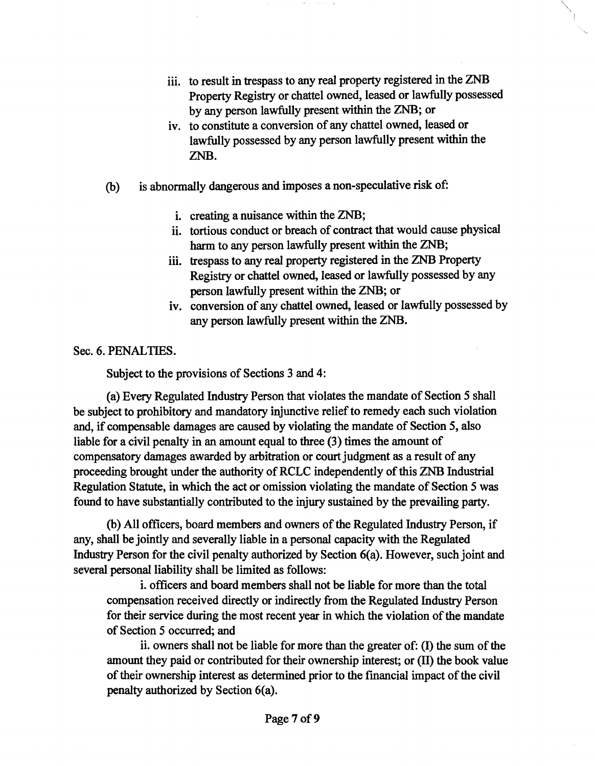- iii. to result in trespass to any real property registered in the ZNB Property Registry or chattel owned, leased or lawfully possessed by any person lawfully present within the ZNB; or
- iv. to constitute a conversion of any chattel owned, leased or lawfully possessed by any person lawfully present within the ZNB.
- (b) is abnormally dangerous and imposes a non-speculative risk of:
	- i. creating a nuisance within the ZNB;
	- ii. tortious conduct or breach of contract that would cause physical harm to any person lawfully present within the ZNB;
	- iii. trespass to any real property registered in the ZNB Property Registry or chattel owned, leased or lawfully possessed by any person lawfully present within the ZNB; or
	- iv. conversion of any chattel owned, leased or lawfully possessed by any person lawfully present within the ZNB.

Sec. 6. PENALTIES.

Subject to the provisions of Sections 3 and 4:

(a) Every Regulated Industry Person that violates the mandate of Section S shall be subject to prohibitory and mandatory injunctive relief to remedy each such violation and, if compensable damages are caused by violating the mandate of Section S, also liable for a civil penalty in an amount equal to three (3) times the amount of compensatory damages awarded by arbitration or court judgment as a result of any proceeding brought under the authority of RCLC independently of this ZNB Industrial Regulation Statute, in which the act or omission violating the mandate of Section S was found to have substantially contributed to the injury sustained by the prevailing party.

(b) All officers, board members and owners of the Regulated Industry Person, if any, shall be jointly and severally liable in a personal capacity with the Regulated Industry Person for the civil penalty authorized by Section 6(a). However, such joint and several personal liability shall be limited as follows:

i. officers and board members shall not be liable for more than the total compensation received directly or indirectly from the Regulated Industry Person for their service during the most recent year in which the violation of the mandate of Section S occurred; and

ii. owners shall not be liable for more than the greater of: (I) the sum of the amount they paid or contributed for their ownership interest; or (II) the book value of their ownership interest as determined prior to the financial impact of the civil penalty authorized by Section 6(a).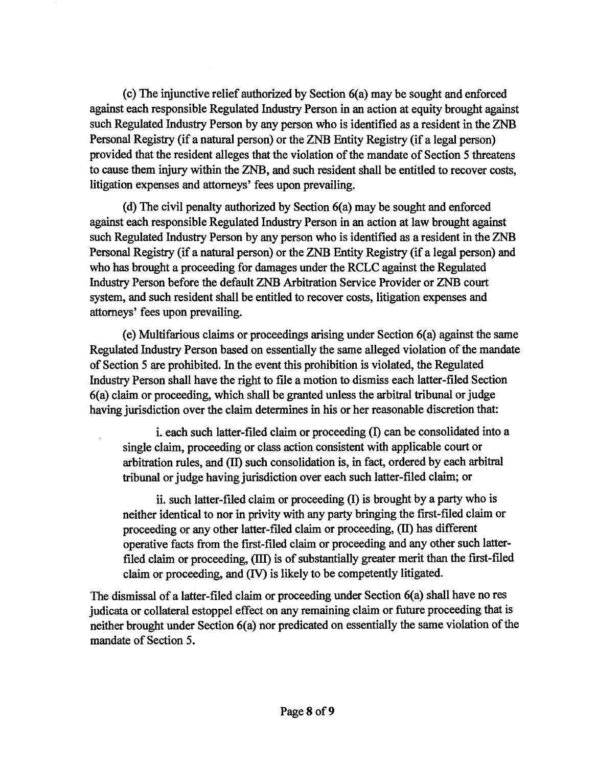(c) The injunctive relief authorized by Section 6(a) may be sought and enforced against each responsible Regulated Industry Person in an action at equity brought against such Regulated Industry Person by any person who is identified as a resident in the ZNB Personal Registry (if a natural person) or the ZNB Entity Registry (if a legal person) provided that the resident alleges that the violation of the mandate of Section 5 threatens to cause them injury within the ZNB, and such resident shall be entitled to recover costs, litigation expenses and attorneys' fees upon prevailing.

(d) The civil penalty authorized by Section 6(a) may be sought and enforced against each responsible Regulated Industry Person in an action at law brought against such Regulated Industry Person by any person who is identified as a resident in the ZNB Personal Registry (if a natural person) or the ZNB Entity Registry (if a legal person) and who has brought a proceeding for damages under the RCLC against the Regulated Industry Person before the default ZNB Arbitration Service Provider or ZNB court system, and such resident shall be entitled to recover costs, litigation expenses and attorneys' fees upon prevailing.

(e) Multifarious claims or proceedings arising under Section 6(a) against the same Regulated Industry Person based on essentially the same alleged violation of the mandate of Section 5 are prohibited. In the event this prohibition is violated, the Regulated Industry Person shall have the right to file a motion to dismiss each latter-filed Section 6(a) claim or proceeding, which shall be granted unless the arbitral tribunal or judge having jurisdiction over the claim determines in his or her reasonable discretion that:

i. each such latter-filed claim or proceeding  $(I)$  can be consolidated into a single claim, proceeding or class action consistent with applicable court or arbitration rules, and (II) such consolidation is, in fact, ordered by each arbitral tribunal or judge having jurisdiction over each such latter-filed claim; or

ii. such latter-filed claim or proceeding (I) is brought by a party who is neither identical to nor in privity with any party bringing the first-filed claim or proceeding or any other latter-filed claim or proceeding, (II) has different operative facts from the first-filed claim or proceeding and any other such latterfiled claim or proceeding, (III) is of substantially greater merit than the first-filed claim or proceeding, and (IV) is likely to be competently litigated.

The dismissal of a latter-filed claim or proceeding under Section 6(a) shall have no res judicata or collateral estoppel effect on any remaining claim or future proceeding that is neither brought under Section 6(a) nor predicated on essentially the same violation of the mandate of Section 5.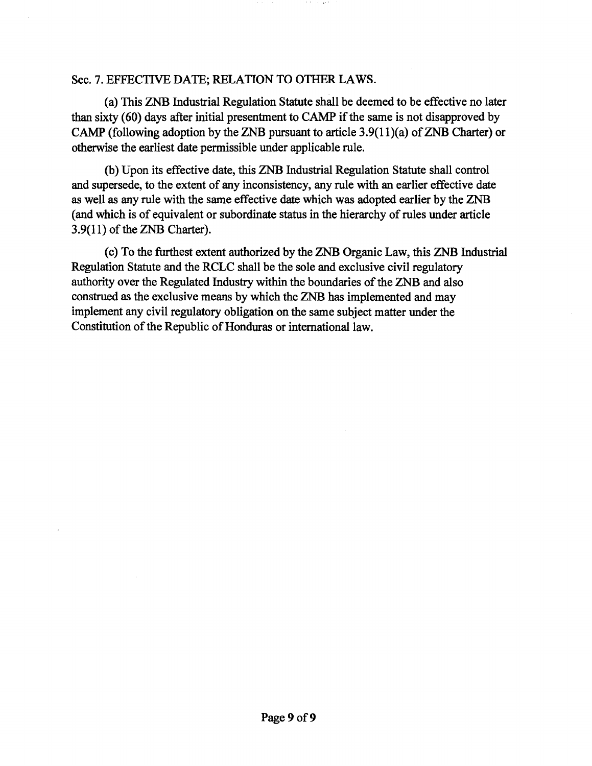#### Sec. 7. EFFECTIVE DATE; RELATION TO OTHER LAWS.

(a) This ZNB Industrial Regulation Statute shall be deemed to be effective no later than sixty  $(60)$  days after initial presentment to CAMP if the same is not disapproved by CAMP (following adoption by the ZNB pursuant to article  $3.9(11)(a)$  of ZNB Charter) or otherwise the earliest date permissible under applicable rule.

(b) Upon its effective date, this ZNB Industrial Regulation Statute shall control and supersede, to the extent of any inconsistency, any rule with an earlier effective date as well as any rule with the same effective date which was adopted earlier by the ZNB (and which is of equivalent or subordinate status in the hierarchy of rules under article 3.9(11) of the ZNB Charter).

(c) To the furthest extent authorized by the ZNB Organic Law, this ZNB Industrial Regulation Statute and the RCLC shall be the sole and exclusive civil regulatory authority over the Regulated Industry within the boundaries of the ZNB and also construed as the exclusive means by which the ZNB has implemented and may implement any civil regulatory obligation on the same subject matter under the Constitution of the Republic of Honduras or international law.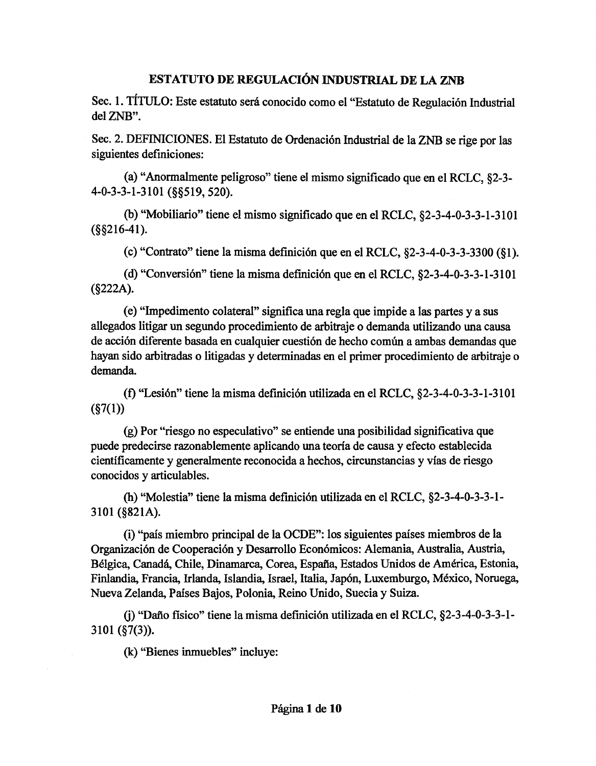## ESTATUTO DE REGULACIÓN INDUSTRIAL DE LA ZNB

Sec. l. TÍTIJLO: Este estatuto será conocido como el "Estatuto de Regulación Industrial del ZNB".

Sec. 2. DEFINICIONES. El Estatuto de Ordenación Industrial de la ZNB se rige por las siguientes definiciones:

(a) "Anormalmente peligroso" tiene el mismo significado que en el RCLC, §2-3- 4-0-3-3-1-3101(§§519,520).

(b) "Mobiliario" tiene el mismo significado que en el RCLC, §2-3-4-0-3-3-1-3101 (§§216-41).

(c) "Contrato" tiene la misma definición que en el RCLC, §2-3-4-0-3-3-3300 (§1).

(d) "Conversión" tiene la misma definición que en el RCLC, §2-3-4-0-3-3-1-3101 (§222A).

(e) "Impedimento colateral" significa una regla que impide a las partes y a sus allegados litigar un segundo procedimiento de arbitraje o demanda utilizando una causa de acción diferente basada en cualquier cuestión de hecho común a ambas demandas que hayan sido arbitradas o litigadas y determinadas en el primer procedimiento de arbitraje o demanda.

(f) "Lesión" tiene la misma definición utilizada en el RCLC, §2-3-4-0-3-3-1-3101  $(S7(1))$ 

(g) Por "riesgo no especulativo" se entiende una posibilidad significativa que puede predecirse razonablemente aplicando una teoría de causa y efecto establecida científicamente y generalmente reconocida a hechos, circunstancias y vías de riesgo conocidos y articulables.

(h) "Molestia" tiene la misma definición utilizada en el RCLC, §2-3-4-0-3-3-1- 3101 (§821A).

(i) "país miembro principal de la OCDE": los siguientes países miembros de la Organización de Cooperación y Desarrollo Económicos: Alemania, Australia, Austria, Bélgica, Canadá, Chile, Dinamarca, Corea, España, Estados Unidos de América, Estonia, Finlandia, Francia, Irlanda, Islandia, Israel, Italia, Japón, Luxemburgo, México, Noruega, Nueva Zelanda, Países Bajos, Polonia, Reino Unido, Suecia y Suiza.

0) "Daño físico" tiene la misma definición utilizada en el RCLC, §2-3-4-0-3-3-1- 3101 (§7(3)).

(k) "Bienes inmuebles" incluye: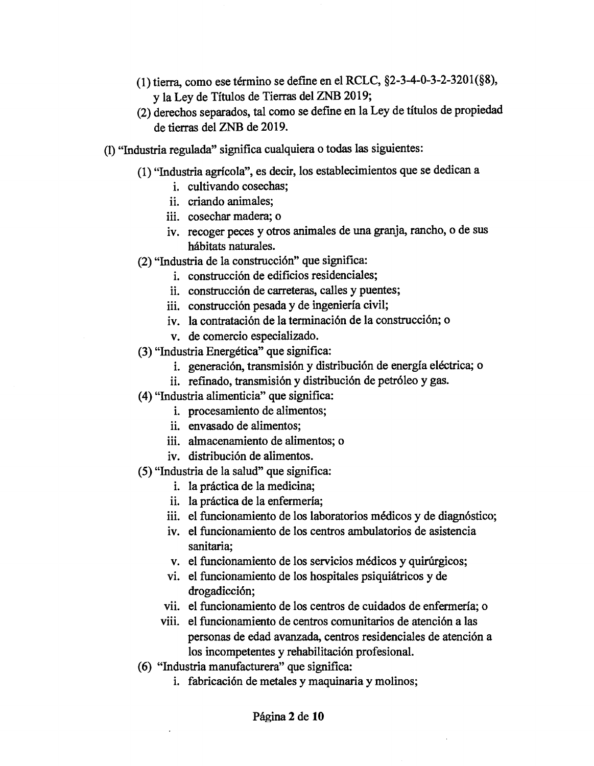- (1) tierra, como ese término se define en el RCLC, §2-3-4-0-3-2-3201(§8), y la Ley de Títulos de Tierras del ZNB 2019;
- (2) derechos separados, tal como se define en la Ley de títulos de propiedad de tierras del ZNB de 2019.
- (1) "Industria regulada" significa cualquiera o todas las siguientes:
	- (1) "Industria agrícola", es decir, los establecimientos que se dedican a
		- i. cultivando cosechas;
		- ii. criando animales;
		- iii. cosechar madera; o
		- iv. recoger peces y otros animales de una granja, rancho, o de sus hábitats naturales.
	- (2) "Industria de la construcción" que significa:
		- 1. construcción de edificios residenciales;
		- ii. construcción de carreteras, calles y puentes;
		- iii. construcción pesada y de ingeniería civil;
		- iv. la contratación de la terminación de la construcción; o
		- v. de comercio especializado.
	- (3) "Industria Energética" que significa:
		- i. generación, transmisión y distribución de energía eléctrica; o
		- ii. refinado, transmisión y distribución de petróleo y gas.
	- (4) "Industria alimenticia" que significa:
		- i. procesamiento de alimentos;
		- ii. envasado de alimentos;
		- iii. almacenamiento de alimentos; o
		- iv. distribución de alimentos.
	- (5) "Industria de la salud" que significa:
		- 1. la práctica de la medicina;
		- ii. la práctica de la enfermería;
		- iii. el funcionamiento de los laboratorios médicos y de diagnóstico;
		- iv. el funcionamiento de los centros ambulatorios de asistencia sanitaria;
		- v. el funcionamiento de los servicios médicos y quirúrgicos;
		- vi. el funcionamiento de los hospitales psiquiátricos y de drogadicción;
		- vii. el funcionamiento de los centros de cuidados de enfermería; o
		- viii. el funcionamiento de centros comunitarios de atención a las personas de edad avanzada, centros residenciales de atención a los incompetentes y rehabilitación profesional.
	- ( 6) "Industria manufacturera" que significa:
		- i. fabricación de metales y maquinaria y molinos;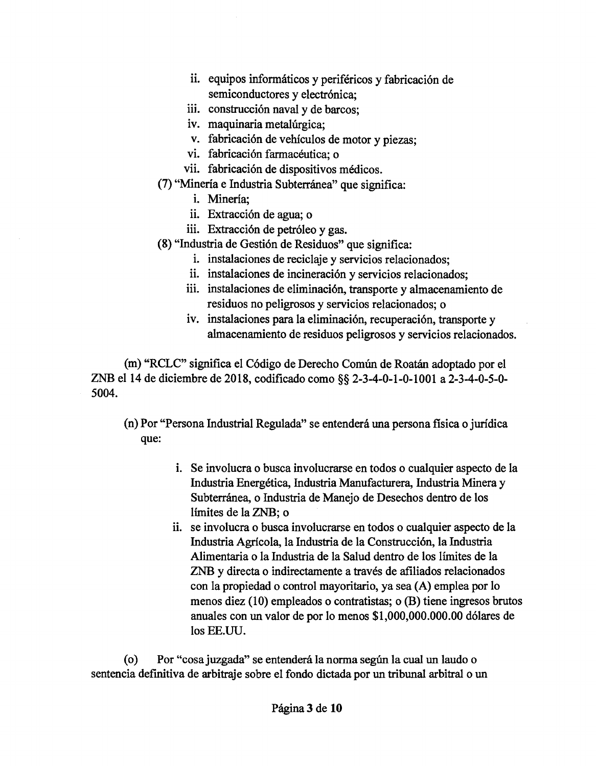- ii. equipos informáticos y periféricos y fabricación de semiconductores y electrónica;
- iii. construcción naval y de barcos;
- iv. maquinaria metalúrgica;
- v. fabricación de vehículos de motor y piezas;
- vi. fabricación farmacéutica; o
- vii. fabricación de dispositivos médicos.
- (7) "Minería e Industria Subterránea" que significa:
	- i. Minería;
	- ii. Extracción de agua; o
	- iii. Extracción de petróleo y gas.
- (8) "Industria de Gestión de Residuos" que significa:
	- i. instalaciones de reciclaje y servicios relacionados;
	- ii. instalaciones de incineración y servicios relacionados;
	- iii. instalaciones de eliminación, transporte y almacenamiento de residuos no peligrosos y servicios relacionados; o
	- iv. instalaciones para la eliminación, recuperación, transporte y almacenamiento de residuos peligrosos y servicios relacionados.

(m) "RCLC" significa el Código de Derecho Común de Roatán adoptado por el ZNB el 14 de diciembre de 2018, codificado como§§ 2-3-4-0-1-0-1001a2-3-4-0-5-0- 5004.

(n) Por "Persona Industrial Regulada" se entenderá una persona fisica o jurídica que:

- i. Se involucra o busca involucrarse en todos o cualquier aspecto de la Industria Energética, Industria Manufacturera, Industria Minera y Subterránea, o Industria de Manejo de Desechos dentro de los límites de la ZNB; o
- ii. se involucra o busca involucrarse en todos o cualquier aspecto de la Industria Agrícola, la Industria de la Construcción, la Industria Alimentaria o la Industria de la Salud dentro de los límites de la ZNB y directa o indirectamente a través de afiliados relacionados con la propiedad o control mayoritario, ya sea (A) emplea por lo menos diez (10) empleados o contratistas; o (B) tiene ingresos brutos anuales con un valor de por lo menos \$1,000,000.000.00 dólares de los EE.UU.

(o) Por "cosa juzgada" se entenderá la norma según la cual un laudo o sentencia definitiva de arbitraje sobre el fondo dictada por un tribunal arbitral o un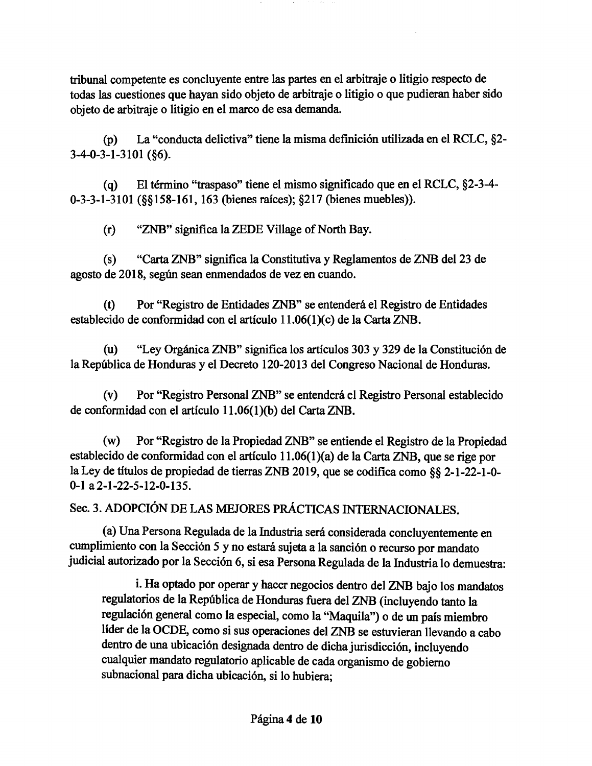tribunal competente es concluyente entre las partes en el arbitraje o litigio respecto de todas las cuestiones que hayan sido objeto de arbitraje o litigio o que pudieran haber sido objeto de arbitraje o litigio en el marco de esa demanda.

(p) La "conducta delictiva" tiene la misma definición utilizada en el RCLC, §2- 3-4-0-3-1-3101 (§6).

(q) El término "traspaso" tiene el mismo significado que en el RCLC, §2-3-4- 0-3-3-1-3101 (§§158-161, 163 (bienes raíces); §217 (bienes muebles)).

(r) "ZNB" significa la ZEDE Village of North Bay.

(s) "Carta ZNB" significa la Constitutiva y Reglamentos de ZNB del 23 de agosto de 2018, según sean enmendados de vez en cuando.

(t) Por "Registro de Entidades ZNB" se entenderá el Registro de Entidades establecido de conformidad con el artículo 11.06(1)(c) de la Carta ZNB.

(u) "Ley Orgánica ZNB" significa los artículos 303 y 329 de la Constitución de la República de Honduras y el Decreto 120-2013 del Congreso Nacional de Honduras.

(v) Por "Registro Personal ZNB" se entenderá el Registro Personal establecido de conformidad con el artículo l 1.06(1)(b) del Carta ZNB.

(w) Por "Registro de la Propiedad ZNB" se entiende el Registro de la Propiedad establecido de conformidad con el artículo 11.06(1 )(a) de la Carta ZNB, que se rige por la Ley de títulos de propiedad de tierras ZNB 2019, que se codifica como§§ 2-1-22-1-0- 0-1 a2-1-22-5-12-0-135.

Sec. 3. ADOPCIÓN DE LAS MEJORES PRÁCTICAS INTERNACIONALES.

(a) Una Persona Regulada de la Industria será considerada concluyentemente en cumplimiento con la Sección 5 y no estará sujeta a la sanción o recurso por mandato judicial autorizado por la Sección 6, si esa Persona Regulada de la Industria lo demuestra:

i. Ha optado por operar y hacer negocios dentro del ZNB bajo los mandatos regulatorios de la República de Honduras fuera del ZNB (incluyendo tanto la regulación general como la especial, como la "Maquila") o de un país miembro líder de la OCDE, como si sus operaciones del ZNB se estuvieran llevando a cabo dentro de una ubicación designada dentro de dicha jurisdicción, incluyendo cualquier mandato regulatorio aplicable de cada organismo de gobierno subnacional para dicha ubicación, si lo hubiera;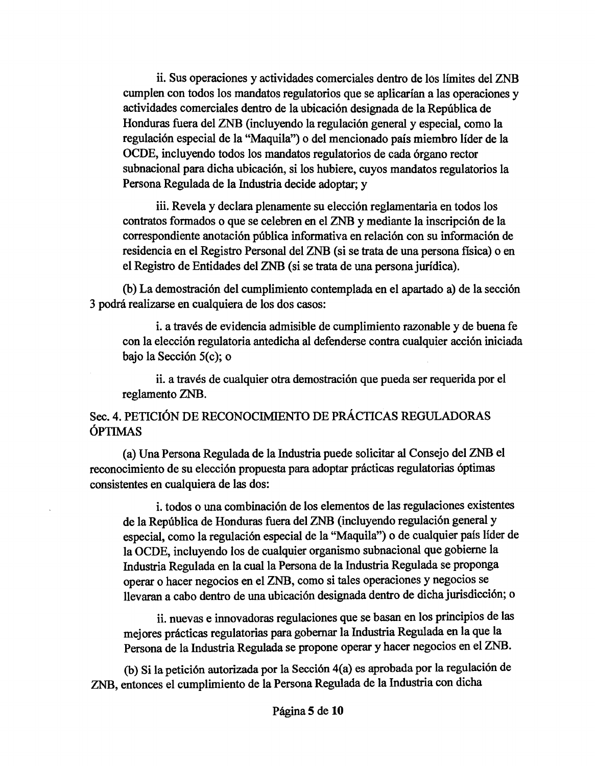ii. Sus operaciones y actividades comerciales dentro de los límites del ZNB cumplen con todos los mandatos regulatorios que se aplicarían a las operaciones y actividades comerciales dentro de la ubicación designada de la República de Honduras fuera del ZNB (incluyendo la regulación general y especial, como la regulación especial de la "Maquila") o del mencionado país miembro líder de la OCDE, incluyendo todos los mandatos regulatorios de cada órgano rector subnacional para dicha ubicación, si los hubiere, cuyos mandatos regulatorios la Persona Regulada de la Industria decide adoptar; y

iii. Revela y declara plenamente su elección reglamentaria en todos los contratos formados o que se celebren en el ZNB y mediante la inscripción de la correspondiente anotación pública informativa en relación con su información de residencia en el Registro Personal del ZNB (si se trata de una persona fisica) o en el Registro de Entidades del ZNB (si se trata de una persona jurídica).

(b) La demostración del cumplimiento contemplada en el apartado a) de la sección 3 podrá realizarse en cualquiera de los dos casos:

i. a través de evidencia admisible de cumplimiento razonable y de buena fe con la elección regulatoria antedicha al defenderse contra cualquier acción iniciada bajo la Sección 5(c); o

ii. a través de cualquier otra demostración que pueda ser requerida por el reglamento ZNB.

# Sec. 4. PETICIÓN DE RECONOCIMIENTO DE PRÁCTICAS REGULADORAS ÓPTIMAS

(a) Una Persona Regulada de la Industria puede solicitar al Consejo del ZNB el reconocimiento de su elección propuesta para adoptar prácticas regulatorias óptimas consistentes en cualquiera de las dos:

i. todos o una combinación de los elementos de las regulaciones existentes de la República de Honduras fuera del ZNB (incluyendo regulación general y especial, como la regulación especial de la "Maquila") o de cualquier país líder de la OCDE, incluyendo los de cualquier organismo subnacional que gobierne la Industria Regulada en la cual la Persona de la Industria Regulada se proponga operar o hacer negocios en el ZNB, como si tales operaciones y negocios se llevaran a cabo dentro de una ubicación designada dentro de dicha jurisdicción; o

ii. nuevas e innovadoras regulaciones que se basan en los principios de las mejores prácticas regulatorias para gobernar la Industria Regulada en la que la Persona de la Industria Regulada se propone operar y hacer negocios en el ZNB.

(b) Si la petición autorizada por la Sección 4(a) es aprobada por la regulación de ZNB, entonces el cumplimiento de la Persona Regulada de la Industria con dicha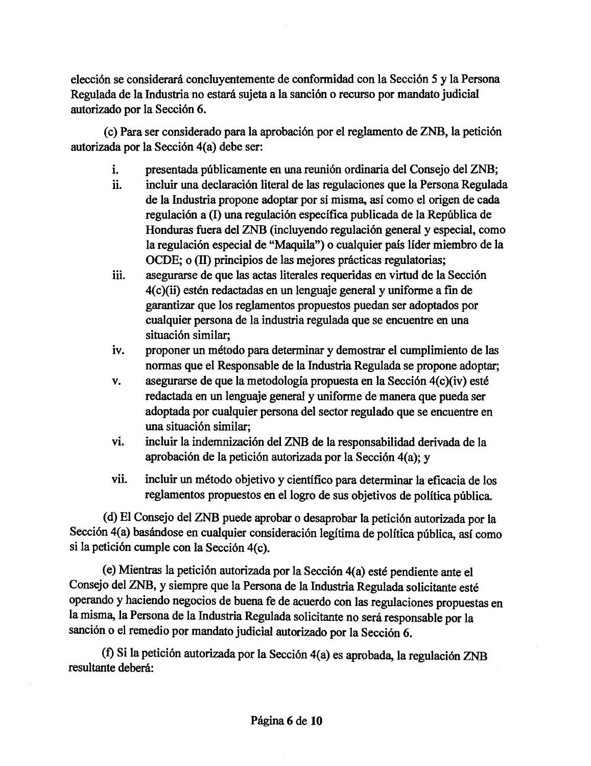elección se considerará concluyentemente de conformidad con la Sección 5 y la Persona Regulada de la Industria no estará sujeta a la sanción o recurso por mandato judicial autorizado por la Sección 6.

( c) Para ser considerado para la aprobación por el reglamento de ZNB, la petición autorizada por la Sección 4(a) debe ser:

- i. presentada públicamente en una reunión ordinaria del Consejo del ZNB;
- ii. incluir una declaración literal de las regulaciones que la Persona Regulada de la Industria propone adoptar por sí misma, así como el origen de cada regulación a (1) una regulación específica publicada de la República de Honduras fuera del ZNB (incluyendo regulación general y especial, como la regulación especial de "Maquila") o cualquier país líder miembro de la OCDE; o (II) principios de las mejores prácticas regulatorias;
- iii. asegurarse de que las actas literales requeridas en virtud de la Sección 4(c)(ii) estén redactadas en un lenguaje general y uniforme a fin de garantizar que los reglamentos propuestos puedan ser adoptados por cualquier persona de la industria regulada que se encuentre en una situación similar;
- iv. proponer un método para determinar y demostrar el cumplimiento de las normas que el Responsable de la Industria Regulada se propone adoptar;
- v. asegurarse de que la metodología propuesta en la Sección 4(c)(iv) esté redactada en un lenguaje general y uniforme de manera que pueda ser adoptada por cualquier persona del sector regulado que se encuentre en una situación similar;
- vi. incluir la indemnización del ZNB de la responsabilidad derivada de la aprobación de la petición autorizada por la Sección 4(a); y
- vii. incluir un método objetivo y científico para determinar la eficacia de los reglamentos propuestos en el logro de sus objetivos de política pública.

( d) El Consejo del ZNB puede aprobar o desaprobar la petición autorizada por la Sección 4(a) basándose en cualquier consideración legítima de política pública, así como si la petición cumple con la Sección 4(c).

(e) Mientras la petición autorizada por la Sección 4(a) esté pendiente ante el Consejo del ZNB, y siempre que la Persona de la Industria Regulada solicitante esté operando y haciendo negocios de buena fe de acuerdo con las regulaciones propuestas en la misma, la Persona de la Industria Regulada solicitante no será responsable por la sanción o el remedio por mandato judicial autorizado por la Sección 6.

(f) Si la petición autorizada por la Sección 4(a) es aprobada, la regulación ZNB resultante deberá: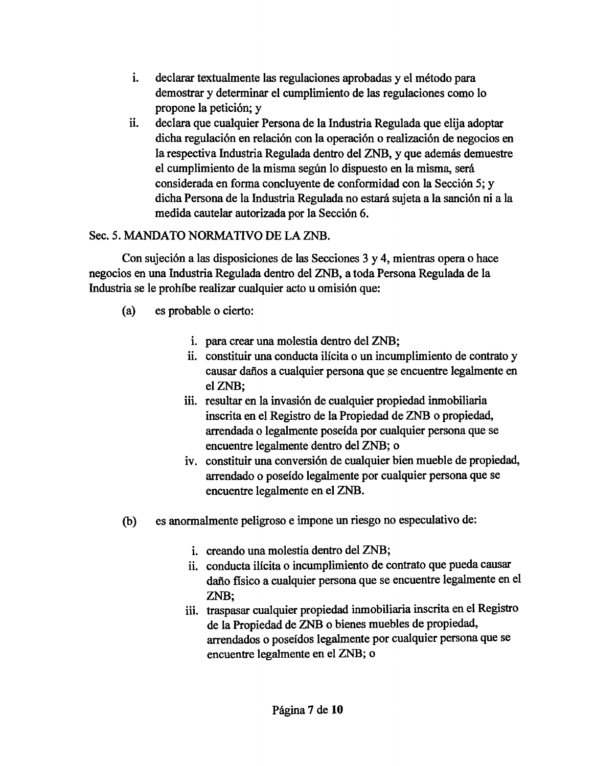- i. declarar textualmente las regulaciones aprobadas y el método para demostrar y determinar el cumplimiento de las regulaciones como lo propone la petición; y
- ii. declara que cualquier Persona de la Industria Regulada que elija adoptar dicha regulación en relación con la operación o realización de negocios en la respectiva Industria Regulada dentro del ZNB, y que además demuestre el cumplimiento de la misma según lo dispuesto en la misma, será considerada en forma concluyente de conformidad con la Sección 5; y dicha Persona de la Industria Regulada no estará sujeta a la sanción ni a la medida cautelar autorizada por la Sección 6.

# Sec. 5. MANDATO NORMATIVO DE LA ZNB.

Con sujeción a las disposiciones de las Secciones 3 y 4, mientras opera o hace negocios en una Industria Regulada dentro del ZNB, a toda Persona Regulada de la Industria se le prohíbe realizar cualquier acto u omisión que:

- (a) es probable o cierto:
	- i. para crear una molestia dentro del ZNB;
	- ii. constituir una conducta ilícita o un incumplimiento de contrato y causar daños a cualquier persona que se encuentre legalmente en elZNB;
	- iii. resultar en la invasión de cualquier propiedad inmobiliaria inscrita en el Registro de la Propiedad de ZNB o propiedad, arrendada o legalmente poseída por cualquier persona que se encuentre legalmente dentro del ZNB; o
	- 1v. constituir una conversión de cualquier bien mueble de propiedad, arrendado o poseído legalmente por cualquier persona que se encuentre legalmente en el ZNB.
- (b) es anormalmente peligroso e impone un riesgo no especulativo de:
	- i. creando una molestia dentro del ZNB;
	- ii. conducta ilícita o incumplimiento de contrato que pueda causar daño fisico a cualquier persona que se encuentre legalmente en el ZNB;
	- iii. traspasar cualquier propiedad inmobiliaria inscrita en el Registro de la Propiedad de ZNB o bienes muebles de propiedad, arrendados o poseídos legalmente por cualquier persona que se encuentre legalmente en el ZNB; o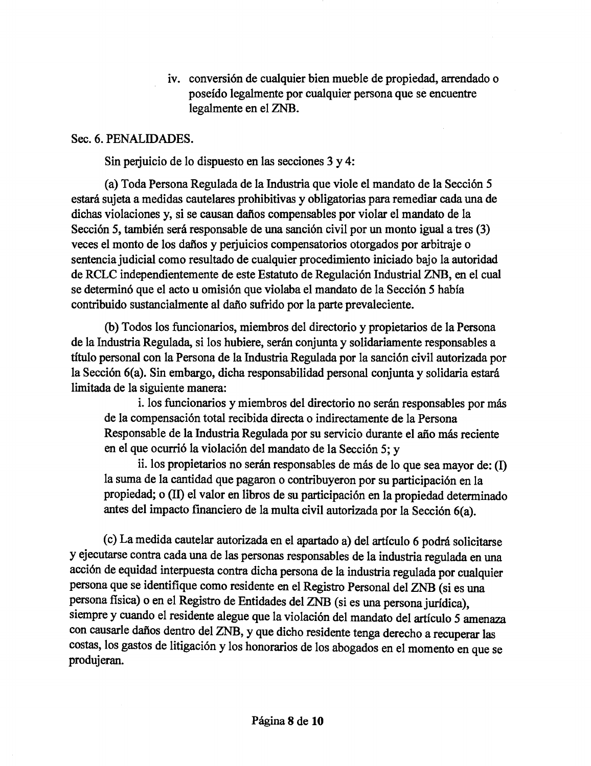iv. conversión de cualquier bien mueble de propiedad, arrendado o poseído legalmente por cualquier persona que se encuentre legalmente en el ZNB.

### Sec. 6. PENALIDADES.

Sin perjuicio de lo dispuesto en las secciones 3 y 4:

(a) Toda Persona Regulada de la Industria que viole el mandato de la Sección 5 estará sujeta a medidas cautelares prohibitivas y obligatorias para remediar cada una de dichas violaciones y, si se causan daños compensables por violar el mandato de la Sección 5, también será responsable de una sanción civil por un monto igual a tres (3) veces el monto de los daños y perjuicios compensatorios otorgados por arbitraje o sentencia judicial como resultado de cualquier procedimiento iniciado bajo la autoridad de RCLC independientemente de este Estatuto de Regulación Industrial ZNB, en el cual se determinó que el acto u omisión que violaba el mandato de la Sección 5 había contribuido sustancialmente al daño sufrido por la parte prevaleciente.

(b) Todos los funcionarios, miembros del directorio y propietarios de la Persona de la Industria Regulada, si los hubiere, serán conjunta y solidariamente responsables a título personal con la Persona de la Industria Regulada por la sanción civil autorizada por la Sección 6(a). Sin embargo, dicha responsabilidad personal conjunta y solidaria estará limitada de la siguiente manera:

i. los funcionarios y miembros del directorio no serán responsables por más de la compensación total recibida directa o indirectamente de la Persona Responsable de la Industria Regulada por su servicio durante el año más reciente en el que ocurrió la violación del mandato de la Sección 5; y

ii. los propietarios no serán responsables de más de lo que sea mayor de: (I) la suma de la cantidad que pagaron o contribuyeron por su participación en la propiedad; o (11) el valor en libros de su participación en la propiedad determinado antes del impacto financiero de la multa civil autorizada por la Sección 6(a).

( c) La medida cautelar autorizada en el apartado a) del artículo 6 podrá solicitarse y ejecutarse contra cada una de las personas responsables de la industria regulada en una acción de equidad interpuesta contra dicha persona de la industria regulada por cualquier persona que se identifique como residente en el Registro Personal del ZNB (si es una persona flsica) o en el Registro de Entidades del ZNB (si es una persona jurídica), siempre y cuando el residente alegue que la violación del mandato del artículo 5 amenaza con causarle daños dentro del ZNB, y que dicho residente tenga derecho a recuperar las costas, los gastos de litigación y los honorarios de los abogados en el momento en que se produjeran.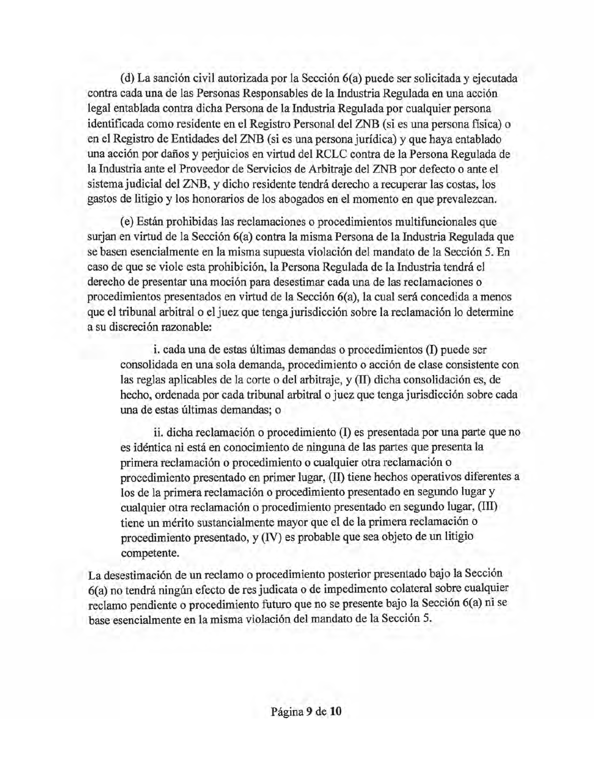(d) La sanción civil autorizada por la Sección 6(a) puede ser solicitada y ejecutada contra cada una de las Personas Responsables de la Industria Regulada en una acción legal entablada contra dicha Persona de la Industria Regulada por cualquier persona identificada como residente en el Registro Personal del ZNB (si es una persona física) o en el Registro de Entidades del ZNB (si es una persona jurídica) y que haya entablado una acción por daños y perjuicios en virtud del RCLC contra de la Persona Regulada de la Industria ante el Proveedor de Servicios de Arbitraje del ZNB por defecto o ante el sistema judicial del ZNB, y dicho residente tendrá derecho a recuperar las costas, los gastos de litigio y los honorarios de los abogados en el momento en que prevalezcan.

(e) Están prohibidas las reclamaciones o procedimientos multifuncionales que surjan en virtud de la Sección 6(a) contra la misma Persona de la Industria Regulada que se basen esencialmente en la misma supuesta violación del mandato de la Sección 5. En caso de que se viole esta prohibición, la Persona Regulada de la Industria tendrá el derecho de presentar una moción para desestimar cada una de las reclamaciones o procedimientos presentados en virtud de la Sección 6(a), la cual será concedida a menos que el tribunal arbitral o el juez que tenga jurisdicción sobre la reclamación lo determine a su discreción razonable:

i. cada una de estas últimas demandas o procedimientos (1) puede ser consolidada en una sola demanda, procedimiento o acción de clase consistente con las reglas aplicables de la corte o del arbitraje, y (11) dicha consolidación es, de hecho, ordenada por cada tribunal arbitral o juez que tenga jurisdicción sobre cada una de estas últimas demandas; o

ii. dicha reclamación o procedimiento (1) es presentada por una parte que no es idéntica ni está en conocimiento de ninguna de las partes que presenta la primera reclamación o procedimiento o cualquier otra reclamación o procedimiento presentado en primer lugar, (11) tiene hechos operativos diferentes a los de la primera reclamación o procedimiento presentado en segundo lugar y cualquier otra reclamación o procedimiento presentado en segundo lugar, (llI) tiene un mérito sustancialmente mayor que el de la primera reclamación o procedimiento presentado, y (IV) es probable que sea objeto de un litigio competente.

La desestimación de un reclamo o procedimiento posterior presentado bajo la Sección 6( a) no tendrá ningún efecto de res judicata o de impedimento colateral sobre cualquier reclamo pendiente o procedimiento futuro que no se presente bajo la Sección 6(a) ni se base esencialmente en la misma violación del mandato de la Sección 5.